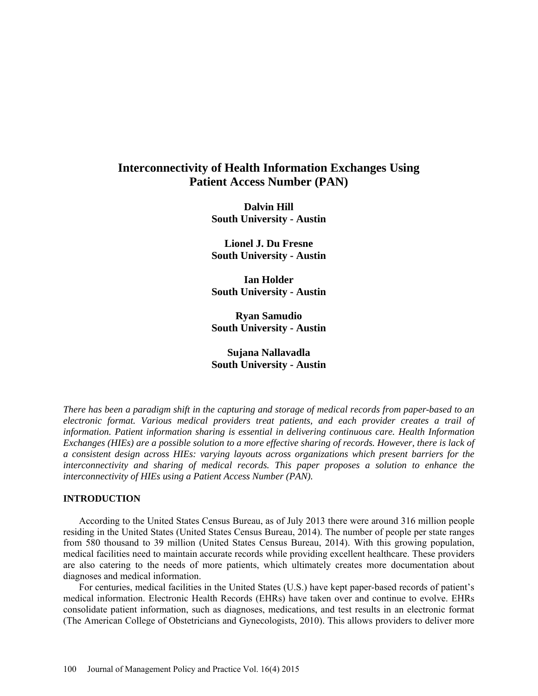# **Interconnectivity of Health Information Exchanges Using Patient Access Number (PAN)**

**Dalvin Hill South University - Austin**

**Lionel J. Du Fresne South University - Austin**

**Ian Holder South University - Austin**

**Ryan Samudio South University - Austin**

**Sujana Nallavadla South University - Austin**

*There has been a paradigm shift in the capturing and storage of medical records from paper-based to an electronic format. Various medical providers treat patients, and each provider creates a trail of information. Patient information sharing is essential in delivering continuous care. Health Information Exchanges (HIEs) are a possible solution to a more effective sharing of records. However, there is lack of a consistent design across HIEs: varying layouts across organizations which present barriers for the interconnectivity and sharing of medical records. This paper proposes a solution to enhance the interconnectivity of HIEs using a Patient Access Number (PAN).*

## **INTRODUCTION**

According to the United States Census Bureau, as of July 2013 there were around 316 million people residing in the United States (United States Census Bureau, 2014). The number of people per state ranges from 580 thousand to 39 million (United States Census Bureau, 2014). With this growing population, medical facilities need to maintain accurate records while providing excellent healthcare. These providers are also catering to the needs of more patients, which ultimately creates more documentation about diagnoses and medical information.

For centuries, medical facilities in the United States (U.S.) have kept paper-based records of patient's medical information. Electronic Health Records (EHRs) have taken over and continue to evolve. EHRs consolidate patient information, such as diagnoses, medications, and test results in an electronic format (The American College of Obstetricians and Gynecologists, 2010). This allows providers to deliver more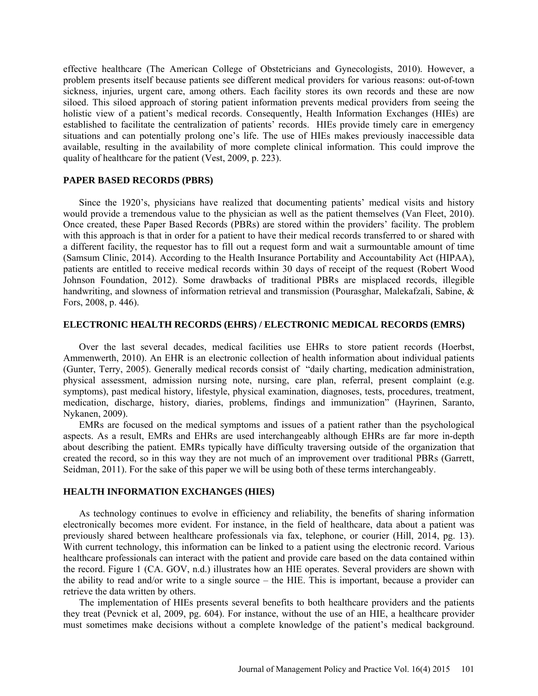effective healthcare (The American College of Obstetricians and Gynecologists, 2010). However, a problem presents itself because patients see different medical providers for various reasons: out-of-town sickness, injuries, urgent care, among others. Each facility stores its own records and these are now siloed. This siloed approach of storing patient information prevents medical providers from seeing the holistic view of a patient's medical records. Consequently, Health Information Exchanges (HIEs) are established to facilitate the centralization of patients' records. HIEs provide timely care in emergency situations and can potentially prolong one's life. The use of HIEs makes previously inaccessible data available, resulting in the availability of more complete clinical information. This could improve the quality of healthcare for the patient (Vest, 2009, p. 223).

## **PAPER BASED RECORDS (PBRS)**

Since the 1920's, physicians have realized that documenting patients' medical visits and history would provide a tremendous value to the physician as well as the patient themselves (Van Fleet, 2010). Once created, these Paper Based Records (PBRs) are stored within the providers' facility. The problem with this approach is that in order for a patient to have their medical records transferred to or shared with a different facility, the requestor has to fill out a request form and wait a surmountable amount of time (Samsum Clinic, 2014). According to the Health Insurance Portability and Accountability Act (HIPAA), patients are entitled to receive medical records within 30 days of receipt of the request (Robert Wood Johnson Foundation, 2012). Some drawbacks of traditional PBRs are misplaced records, illegible handwriting, and slowness of information retrieval and transmission (Pourasghar, Malekafzali, Sabine, & Fors, 2008, p. 446).

#### **ELECTRONIC HEALTH RECORDS (EHRS) / ELECTRONIC MEDICAL RECORDS (EMRS)**

Over the last several decades, medical facilities use EHRs to store patient records (Hoerbst, Ammenwerth, 2010). An EHR is an electronic collection of health information about individual patients (Gunter, Terry, 2005). Generally medical records consist of "daily charting, medication administration, physical assessment, admission nursing note, nursing, care plan, referral, present complaint (e.g. symptoms), past medical history, lifestyle, physical examination, diagnoses, tests, procedures, treatment, medication, discharge, history, diaries, problems, findings and immunization" (Hayrinen, Saranto, Nykanen, 2009).

EMRs are focused on the medical symptoms and issues of a patient rather than the psychological aspects. As a result, EMRs and EHRs are used interchangeably although EHRs are far more in-depth about describing the patient. EMRs typically have difficulty traversing outside of the organization that created the record, so in this way they are not much of an improvement over traditional PBRs (Garrett, Seidman, 2011). For the sake of this paper we will be using both of these terms interchangeably.

## **HEALTH INFORMATION EXCHANGES (HIES)**

As technology continues to evolve in efficiency and reliability, the benefits of sharing information electronically becomes more evident. For instance, in the field of healthcare, data about a patient was previously shared between healthcare professionals via fax, telephone, or courier (Hill, 2014, pg. 13). With current technology, this information can be linked to a patient using the electronic record. Various healthcare professionals can interact with the patient and provide care based on the data contained within the record. Figure 1 (CA. GOV, n.d.) illustrates how an HIE operates. Several providers are shown with the ability to read and/or write to a single source – the HIE. This is important, because a provider can retrieve the data written by others.

The implementation of HIEs presents several benefits to both healthcare providers and the patients they treat (Pevnick et al, 2009, pg. 604). For instance, without the use of an HIE, a healthcare provider must sometimes make decisions without a complete knowledge of the patient's medical background.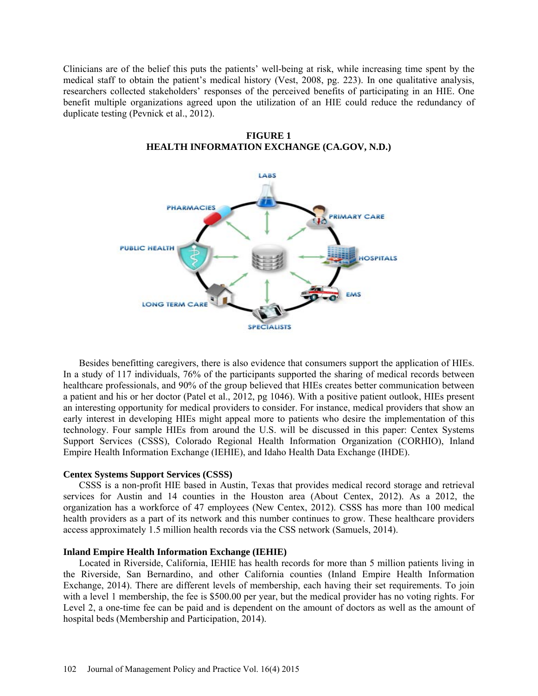Clinicians are of the belief this puts the patients' well-being at risk, while increasing time spent by the medical staff to obtain the patient's medical history (Vest, 2008, pg. 223). In one qualitative analysis, researchers collected stakeholders' responses of the perceived benefits of participating in an HIE. One benefit multiple organizations agreed upon the utilization of an HIE could reduce the redundancy of duplicate testing (Pevnick et al., 2012).



**FIGURE 1 HEALTH INFORMATION EXCHANGE (CA.GOV, N.D.)**

Besides benefitting caregivers, there is also evidence that consumers support the application of HIEs. In a study of 117 individuals, 76% of the participants supported the sharing of medical records between healthcare professionals, and 90% of the group believed that HIEs creates better communication between a patient and his or her doctor (Patel et al., 2012, pg 1046). With a positive patient outlook, HIEs present an interesting opportunity for medical providers to consider. For instance, medical providers that show an early interest in developing HIEs might appeal more to patients who desire the implementation of this technology. Four sample HIEs from around the U.S. will be discussed in this paper: Centex Systems Support Services (CSSS), Colorado Regional Health Information Organization (CORHIO), Inland Empire Health Information Exchange (IEHIE), and Idaho Health Data Exchange (IHDE).

#### **Centex Systems Support Services (CSSS)**

CSSS is a non-profit HIE based in Austin, Texas that provides medical record storage and retrieval services for Austin and 14 counties in the Houston area (About Centex, 2012). As a 2012, the organization has a workforce of 47 employees (New Centex, 2012). CSSS has more than 100 medical health providers as a part of its network and this number continues to grow. These healthcare providers access approximately 1.5 million health records via the CSS network (Samuels, 2014).

#### **Inland Empire Health Information Exchange (IEHIE)**

Located in Riverside, California, IEHIE has health records for more than 5 million patients living in the Riverside, San Bernardino, and other California counties (Inland Empire Health Information Exchange, 2014). There are different levels of membership, each having their set requirements. To join with a level 1 membership, the fee is \$500.00 per year, but the medical provider has no voting rights. For Level 2, a one-time fee can be paid and is dependent on the amount of doctors as well as the amount of hospital beds (Membership and Participation, 2014).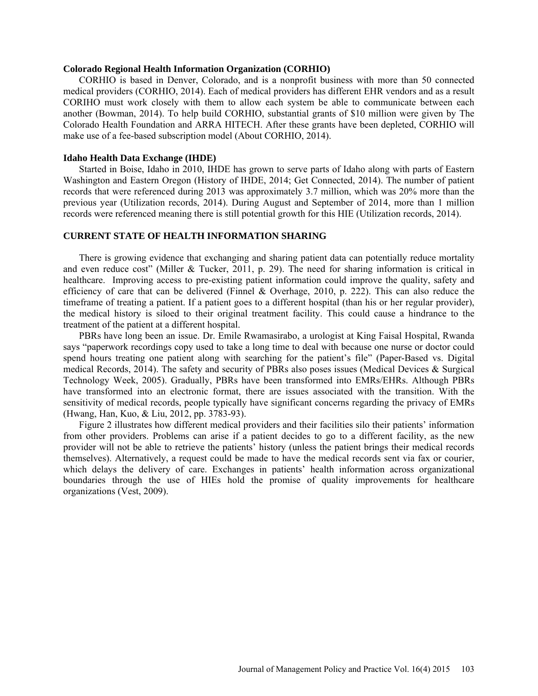#### **Colorado Regional Health Information Organization (CORHIO)**

CORHIO is based in Denver, Colorado, and is a nonprofit business with more than 50 connected medical providers (CORHIO, 2014). Each of medical providers has different EHR vendors and as a result CORIHO must work closely with them to allow each system be able to communicate between each another (Bowman, 2014). To help build CORHIO, substantial grants of \$10 million were given by The Colorado Health Foundation and ARRA HITECH. After these grants have been depleted, CORHIO will make use of a fee-based subscription model (About CORHIO, 2014).

#### **Idaho Health Data Exchange (IHDE)**

Started in Boise, Idaho in 2010, IHDE has grown to serve parts of Idaho along with parts of Eastern Washington and Eastern Oregon (History of IHDE, 2014; Get Connected, 2014). The number of patient records that were referenced during 2013 was approximately 3.7 million, which was 20% more than the previous year (Utilization records, 2014). During August and September of 2014, more than 1 million records were referenced meaning there is still potential growth for this HIE (Utilization records, 2014).

## **CURRENT STATE OF HEALTH INFORMATION SHARING**

There is growing evidence that exchanging and sharing patient data can potentially reduce mortality and even reduce cost" (Miller & Tucker, 2011, p. 29). The need for sharing information is critical in healthcare. Improving access to pre-existing patient information could improve the quality, safety and efficiency of care that can be delivered (Finnel & Overhage, 2010, p. 222). This can also reduce the timeframe of treating a patient. If a patient goes to a different hospital (than his or her regular provider), the medical history is siloed to their original treatment facility. This could cause a hindrance to the treatment of the patient at a different hospital.

PBRs have long been an issue. Dr. Emile Rwamasirabo, a urologist at King Faisal Hospital, Rwanda says "paperwork recordings copy used to take a long time to deal with because one nurse or doctor could spend hours treating one patient along with searching for the patient's file" (Paper-Based vs. Digital medical Records, 2014). The safety and security of PBRs also poses issues (Medical Devices & Surgical Technology Week, 2005). Gradually, PBRs have been transformed into EMRs/EHRs. Although PBRs have transformed into an electronic format, there are issues associated with the transition. With the sensitivity of medical records, people typically have significant concerns regarding the privacy of EMRs (Hwang, Han, Kuo, & Liu, 2012, pp. 3783-93).

Figure 2 illustrates how different medical providers and their facilities silo their patients' information from other providers. Problems can arise if a patient decides to go to a different facility, as the new provider will not be able to retrieve the patients' history (unless the patient brings their medical records themselves). Alternatively, a request could be made to have the medical records sent via fax or courier, which delays the delivery of care. Exchanges in patients' health information across organizational boundaries through the use of HIEs hold the promise of quality improvements for healthcare organizations (Vest, 2009).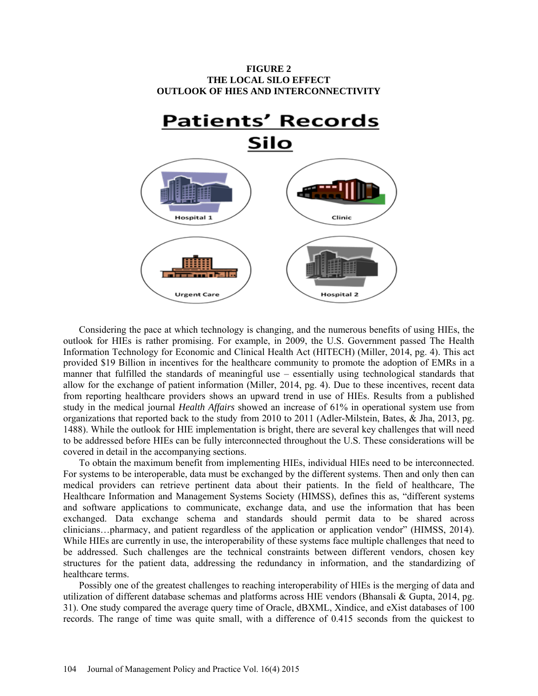

Considering the pace at which technology is changing, and the numerous benefits of using HIEs, the outlook for HIEs is rather promising. For example, in 2009, the U.S. Government passed The Health Information Technology for Economic and Clinical Health Act (HITECH) (Miller, 2014, pg. 4). This act provided \$19 Billion in incentives for the healthcare community to promote the adoption of EMRs in a manner that fulfilled the standards of meaningful use – essentially using technological standards that allow for the exchange of patient information (Miller, 2014, pg. 4). Due to these incentives, recent data from reporting healthcare providers shows an upward trend in use of HIEs. Results from a published study in the medical journal *Health Affairs* showed an increase of 61% in operational system use from organizations that reported back to the study from 2010 to 2011 (Adler-Milstein, Bates, & Jha, 2013, pg. 1488). While the outlook for HIE implementation is bright, there are several key challenges that will need to be addressed before HIEs can be fully interconnected throughout the U.S. These considerations will be covered in detail in the accompanying sections.

To obtain the maximum benefit from implementing HIEs, individual HIEs need to be interconnected. For systems to be interoperable, data must be exchanged by the different systems. Then and only then can medical providers can retrieve pertinent data about their patients. In the field of healthcare, The Healthcare Information and Management Systems Society (HIMSS), defines this as, "different systems and software applications to communicate, exchange data, and use the information that has been exchanged. Data exchange schema and standards should permit data to be shared across clinicians…pharmacy, and patient regardless of the application or application vendor" (HIMSS, 2014). While HIEs are currently in use, the interoperability of these systems face multiple challenges that need to be addressed. Such challenges are the technical constraints between different vendors, chosen key structures for the patient data, addressing the redundancy in information, and the standardizing of healthcare terms.

Possibly one of the greatest challenges to reaching interoperability of HIEs is the merging of data and utilization of different database schemas and platforms across HIE vendors (Bhansali & Gupta, 2014, pg. 31). One study compared the average query time of Oracle, dBXML, Xindice, and eXist databases of 100 records. The range of time was quite small, with a difference of 0.415 seconds from the quickest to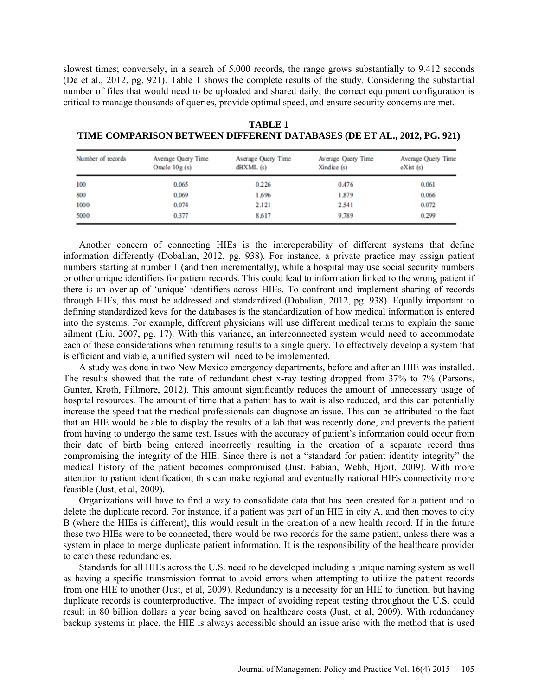slowest times; conversely, in a search of 5,000 records, the range grows substantially to 9.412 seconds (De et al., 2012, pg. 921). Table 1 shows the complete results of the study. Considering the substantial number of files that would need to be uploaded and shared daily, the correct equipment configuration is critical to manage thousands of queries, provide optimal speed, and ensure security concerns are met.

| Number of records | Average Query Time<br>Oracle $10g(s)$ | Average Query Time<br>dBXML(s) | Average Query Time<br>Xindice $(s)$ | Average Query Time<br>cXist(s) |  |
|-------------------|---------------------------------------|--------------------------------|-------------------------------------|--------------------------------|--|
| 100               | 0.065                                 | 0.226                          | 0.476                               | 0.061                          |  |
| 800               | 0.069                                 | 1.696                          | 1.879                               | 0.066                          |  |
| 1000              | 0.074                                 | 2.121                          | 2.541                               | 0.072                          |  |
| 5000              | 0.377                                 | 8.617                          | 9.789                               | 0.299                          |  |

**TABLE 1 TIME COMPARISON BETWEEN DIFFERENT DATABASES (DE ET AL., 2012, PG. 921)**

Another concern of connecting HIEs is the interoperability of different systems that define information differently (Dobalian, 2012, pg. 938). For instance, a private practice may assign patient numbers starting at number 1 (and then incrementally), while a hospital may use social security numbers or other unique identifiers for patient records. This could lead to information linked to the wrong patient if there is an overlap of 'unique' identifiers across HIEs. To confront and implement sharing of records through HIEs, this must be addressed and standardized (Dobalian, 2012, pg. 938). Equally important to defining standardized keys for the databases is the standardization of how medical information is entered into the systems. For example, different physicians will use different medical terms to explain the same ailment (Liu, 2007, pg. 17). With this variance, an interconnected system would need to accommodate each of these considerations when returning results to a single query. To effectively develop a system that is efficient and viable, a unified system will need to be implemented.

A study was done in two New Mexico emergency departments, before and after an HIE was installed. The results showed that the rate of redundant chest x-ray testing dropped from 37% to 7% (Parsons, Gunter, Kroth, Fillmore, 2012). This amount significantly reduces the amount of unnecessary usage of hospital resources. The amount of time that a patient has to wait is also reduced, and this can potentially increase the speed that the medical professionals can diagnose an issue. This can be attributed to the fact that an HIE would be able to display the results of a lab that was recently done, and prevents the patient from having to undergo the same test. Issues with the accuracy of patient's information could occur from their date of birth being entered incorrectly resulting in the creation of a separate record thus compromising the integrity of the HIE. Since there is not a "standard for patient identity integrity" the medical history of the patient becomes compromised (Just, Fabian, Webb, Hjort, 2009). With more attention to patient identification, this can make regional and eventually national HIEs connectivity more feasible (Just, et al, 2009).

Organizations will have to find a way to consolidate data that has been created for a patient and to delete the duplicate record. For instance, if a patient was part of an HIE in city A, and then moves to city B (where the HIEs is different), this would result in the creation of a new health record. If in the future these two HIEs were to be connected, there would be two records for the same patient, unless there was a system in place to merge duplicate patient information. It is the responsibility of the healthcare provider to catch these redundancies.

Standards for all HIEs across the U.S. need to be developed including a unique naming system as well as having a specific transmission format to avoid errors when attempting to utilize the patient records from one HIE to another (Just, et al, 2009). Redundancy is a necessity for an HIE to function, but having duplicate records is counterproductive. The impact of avoiding repeat testing throughout the U.S. could result in 80 billion dollars a year being saved on healthcare costs (Just, et al, 2009). With redundancy backup systems in place, the HIE is always accessible should an issue arise with the method that is used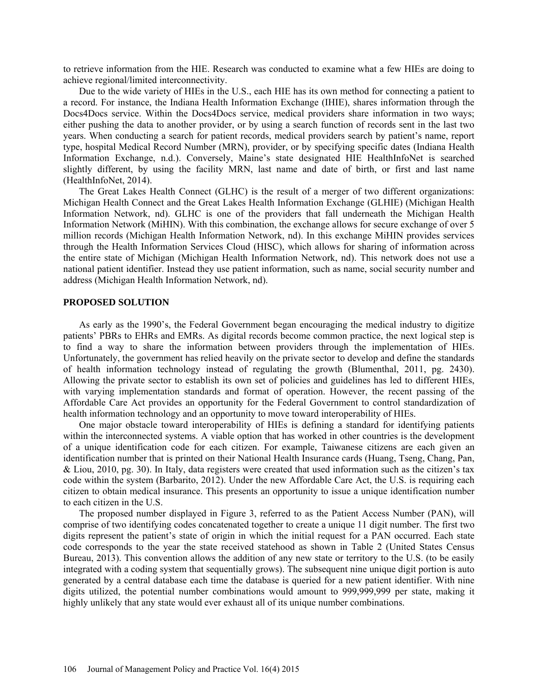to retrieve information from the HIE. Research was conducted to examine what a few HIEs are doing to achieve regional/limited interconnectivity.

Due to the wide variety of HIEs in the U.S., each HIE has its own method for connecting a patient to a record. For instance, the Indiana Health Information Exchange (IHIE), shares information through the Docs4Docs service. Within the Docs4Docs service, medical providers share information in two ways; either pushing the data to another provider, or by using a search function of records sent in the last two years. When conducting a search for patient records, medical providers search by patient's name, report type, hospital Medical Record Number (MRN), provider, or by specifying specific dates (Indiana Health Information Exchange, n.d.). Conversely, Maine's state designated HIE HealthInfoNet is searched slightly different, by using the facility MRN, last name and date of birth, or first and last name (HealthInfoNet, 2014).

The Great Lakes Health Connect (GLHC) is the result of a merger of two different organizations: Michigan Health Connect and the Great Lakes Health Information Exchange (GLHIE) (Michigan Health Information Network, nd). GLHC is one of the providers that fall underneath the Michigan Health Information Network (MiHIN). With this combination, the exchange allows for secure exchange of over 5 million records (Michigan Health Information Network, nd). In this exchange MiHIN provides services through the Health Information Services Cloud (HISC), which allows for sharing of information across the entire state of Michigan (Michigan Health Information Network, nd). This network does not use a national patient identifier. Instead they use patient information, such as name, social security number and address (Michigan Health Information Network, nd).

### **PROPOSED SOLUTION**

As early as the 1990's, the Federal Government began encouraging the medical industry to digitize patients' PBRs to EHRs and EMRs. As digital records become common practice, the next logical step is to find a way to share the information between providers through the implementation of HIEs. Unfortunately, the government has relied heavily on the private sector to develop and define the standards of health information technology instead of regulating the growth (Blumenthal, 2011, pg. 2430). Allowing the private sector to establish its own set of policies and guidelines has led to different HIEs, with varying implementation standards and format of operation. However, the recent passing of the Affordable Care Act provides an opportunity for the Federal Government to control standardization of health information technology and an opportunity to move toward interoperability of HIEs.

One major obstacle toward interoperability of HIEs is defining a standard for identifying patients within the interconnected systems. A viable option that has worked in other countries is the development of a unique identification code for each citizen. For example, Taiwanese citizens are each given an identification number that is printed on their National Health Insurance cards (Huang, Tseng, Chang, Pan, & Liou, 2010, pg. 30). In Italy, data registers were created that used information such as the citizen's tax code within the system (Barbarito, 2012). Under the new Affordable Care Act, the U.S. is requiring each citizen to obtain medical insurance. This presents an opportunity to issue a unique identification number to each citizen in the U.S.

The proposed number displayed in Figure 3, referred to as the Patient Access Number (PAN), will comprise of two identifying codes concatenated together to create a unique 11 digit number. The first two digits represent the patient's state of origin in which the initial request for a PAN occurred. Each state code corresponds to the year the state received statehood as shown in Table 2 (United States Census Bureau, 2013). This convention allows the addition of any new state or territory to the U.S. (to be easily integrated with a coding system that sequentially grows). The subsequent nine unique digit portion is auto generated by a central database each time the database is queried for a new patient identifier. With nine digits utilized, the potential number combinations would amount to 999,999,999 per state, making it highly unlikely that any state would ever exhaust all of its unique number combinations.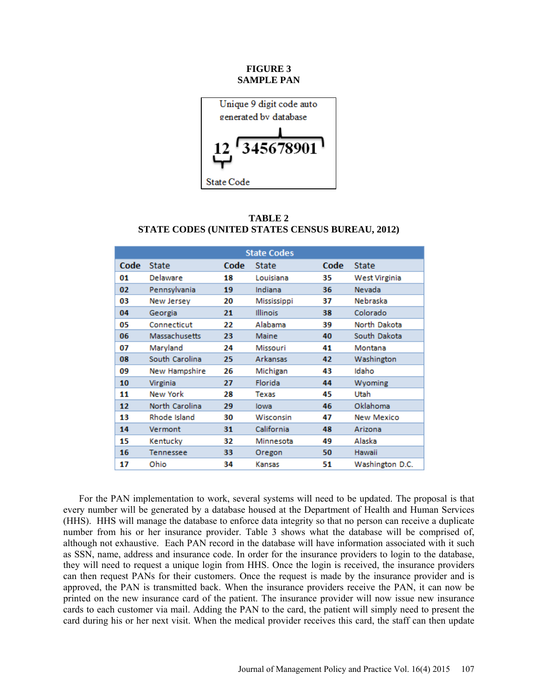## **FIGURE 3 SAMPLE PAN**



| <b>TABLE 2</b> |                                                 |  |  |  |  |  |  |
|----------------|-------------------------------------------------|--|--|--|--|--|--|
|                | STATE CODES (UNITED STATES CENSUS BUREAU, 2012) |  |  |  |  |  |  |

| <b>State Codes</b> |                |      |                 |      |                 |  |
|--------------------|----------------|------|-----------------|------|-----------------|--|
| Code               | <b>State</b>   | Code | State           | Code | <b>State</b>    |  |
| 01                 | Delaware       | 18   | Louisiana       | 35   | West Virginia   |  |
| 02                 | Pennsylvania   | 19   | Indiana         | 36   | Nevada          |  |
| 03                 | New Jersey     | 20   | Mississippi     | 37   | Nebraska        |  |
| 04                 | Georgia        | 21   | <b>Illinois</b> | 38   | Colorado        |  |
| 05                 | Connecticut    | 22   | Alabama         | 39   | North Dakota    |  |
| 06                 | Massachusetts  | 23   | Maine           | 40   | South Dakota    |  |
| 07                 | Maryland       | 24   | Missouri        | 41   | Montana         |  |
| 08                 | South Carolina | 25   | Arkansas        | 42   | Washington      |  |
| 09                 | New Hampshire  | 26   | Michigan        | 43   | Idaho           |  |
| 10                 | Virginia       | 27   | Florida         | 44   | Wyoming         |  |
| 11                 | New York       | 28   | Texas           | 45   | Utah            |  |
| 12                 | North Carolina | 29   | lowa            | 46   | Oklahoma        |  |
| 13                 | Rhode Island   | 30   | Wisconsin       | 47   | New Mexico      |  |
| 14                 | Vermont        | 31   | California      | 48   | Arizona         |  |
| 15                 | Kentucky       | 32   | Minnesota       | 49   | Alaska          |  |
| 16                 | Tennessee      | 33   | Oregon          | 50   | Hawaii          |  |
| 17                 | Ohio           | 34   | Kansas          | 51   | Washington D.C. |  |

For the PAN implementation to work, several systems will need to be updated. The proposal is that every number will be generated by a database housed at the Department of Health and Human Services (HHS). HHS will manage the database to enforce data integrity so that no person can receive a duplicate number from his or her insurance provider. Table 3 shows what the database will be comprised of, although not exhaustive. Each PAN record in the database will have information associated with it such as SSN, name, address and insurance code. In order for the insurance providers to login to the database, they will need to request a unique login from HHS. Once the login is received, the insurance providers can then request PANs for their customers. Once the request is made by the insurance provider and is approved, the PAN is transmitted back. When the insurance providers receive the PAN, it can now be printed on the new insurance card of the patient. The insurance provider will now issue new insurance cards to each customer via mail. Adding the PAN to the card, the patient will simply need to present the card during his or her next visit. When the medical provider receives this card, the staff can then update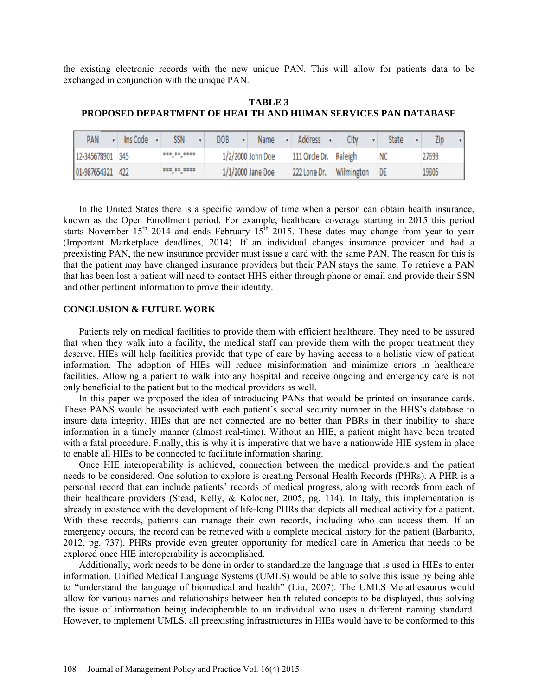the existing electronic records with the new unique PAN. This will allow for patients data to be exchanged in conjunction with the unique PAN.

**TABLE 3 PROPOSED DEPARTMENT OF HEALTH AND HUMAN SERVICES PAN DATABASE**

| PAN              | Ins Code | SSN         | DOB | Name              | Address                | City       | State     | Zip<br>▾ |
|------------------|----------|-------------|-----|-------------------|------------------------|------------|-----------|----------|
| 12-345678901 345 |          | *** ** **** |     | 1/2/2000 John Doe | 111 Circle Dr. Raleigh |            |           | 27699    |
| 01-987654321 422 |          | *** ** **** |     | 1/1/2000 Jane Doe | 222 Lone Dr.           | Wilmington | <b>DE</b> | 19805    |

In the United States there is a specific window of time when a person can obtain health insurance, known as the Open Enrollment period. For example, healthcare coverage starting in 2015 this period starts November  $15<sup>th</sup>$  2014 and ends February  $15<sup>th</sup>$  2015. These dates may change from year to year (Important Marketplace deadlines, 2014). If an individual changes insurance provider and had a preexisting PAN, the new insurance provider must issue a card with the same PAN. The reason for this is that the patient may have changed insurance providers but their PAN stays the same. To retrieve a PAN that has been lost a patient will need to contact HHS either through phone or email and provide their SSN and other pertinent information to prove their identity.

# **CONCLUSION & FUTURE WORK**

Patients rely on medical facilities to provide them with efficient healthcare. They need to be assured that when they walk into a facility, the medical staff can provide them with the proper treatment they deserve. HIEs will help facilities provide that type of care by having access to a holistic view of patient information. The adoption of HIEs will reduce misinformation and minimize errors in healthcare facilities. Allowing a patient to walk into any hospital and receive ongoing and emergency care is not only beneficial to the patient but to the medical providers as well.

In this paper we proposed the idea of introducing PANs that would be printed on insurance cards. These PANS would be associated with each patient's social security number in the HHS's database to insure data integrity. HIEs that are not connected are no better than PBRs in their inability to share information in a timely manner (almost real-time). Without an HIE, a patient might have been treated with a fatal procedure. Finally, this is why it is imperative that we have a nationwide HIE system in place to enable all HIEs to be connected to facilitate information sharing.

Once HIE interoperability is achieved, connection between the medical providers and the patient needs to be considered. One solution to explore is creating Personal Health Records (PHRs). A PHR is a personal record that can include patients' records of medical progress, along with records from each of their healthcare providers (Stead, Kelly, & Kolodner, 2005, pg. 114). In Italy, this implementation is already in existence with the development of life-long PHRs that depicts all medical activity for a patient. With these records, patients can manage their own records, including who can access them. If an emergency occurs, the record can be retrieved with a complete medical history for the patient (Barbarito, 2012, pg. 737). PHRs provide even greater opportunity for medical care in America that needs to be explored once HIE interoperability is accomplished.

Additionally, work needs to be done in order to standardize the language that is used in HIEs to enter information. Unified Medical Language Systems (UMLS) would be able to solve this issue by being able to "understand the language of biomedical and health" (Liu, 2007). The UMLS Metathesaurus would allow for various names and relationships between health related concepts to be displayed, thus solving the issue of information being indecipherable to an individual who uses a different naming standard. However, to implement UMLS, all preexisting infrastructures in HIEs would have to be conformed to this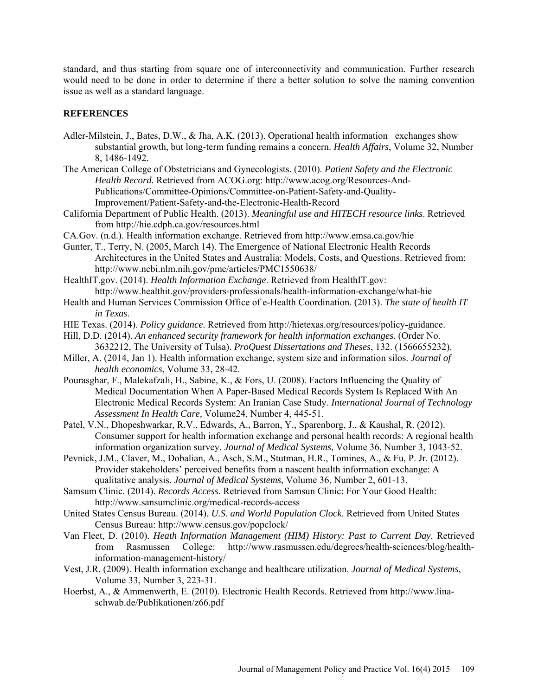standard, and thus starting from square one of interconnectivity and communication. Further research would need to be done in order to determine if there a better solution to solve the naming convention issue as well as a standard language.

# **REFERENCES**

- Adler-Milstein, J., Bates, D.W., & Jha, A.K. (2013). Operational health information exchanges show substantial growth, but long-term funding remains a concern. *Health Affairs*, Volume 32, Number 8, 1486-1492.
- The American College of Obstetricians and Gynecologists. (2010). *Patient Safety and the Electronic Health Record.* Retrieved from ACOG.org: [http://www.acog.org/Resources-And-](http://www.acog.org/Resources-And-Publications/Committee-Opinions/Committee-on-Patient-Safety-and-Quality-Improvement/Patient-Safety-and-the-Electronic-Health-Record)[Publications/Committee-Opinions/Committee-on-Patient-Safety-and-Quality-](http://www.acog.org/Resources-And-Publications/Committee-Opinions/Committee-on-Patient-Safety-and-Quality-Improvement/Patient-Safety-and-the-Electronic-Health-Record)[Improvement/Patient-Safety-and-the-Electronic-Health-Record](http://www.acog.org/Resources-And-Publications/Committee-Opinions/Committee-on-Patient-Safety-and-Quality-Improvement/Patient-Safety-and-the-Electronic-Health-Record)
- California Department of Public Health. (2013). *Meaningful use and HITECH resource links*. Retrieved from<http://hie.cdph.ca.gov/resources.html>
- CA.Gov. (n.d.). Health information exchange. Retrieved from<http://www.emsa.ca.gov/hie>
- Gunter, T., Terry, N. (2005, March 14). The Emergence of National Electronic Health Records Architectures in the United States and Australia: Models, Costs, and Questions. Retrieved from: <http://www.ncbi.nlm.nih.gov/pmc/articles/PMC1550638/>
- HealthIT.gov. (2014). *Health Information Exchange*. Retrieved from HealthIT.gov: <http://www.healthit.gov/providers-professionals/health-information-exchange/what-hie>
- Health and Human Services Commission Office of e-Health Coordination. (2013). *The state of health IT in Texas*.
- HIE Texas. (2014). *Policy guidance*. Retrieved from [http://hietexas.org/resources/policy-guidance.](http://hietexas.org/resources/policy-guidance)
- Hill, D.D. (2014). *An enhanced security framework for health information exchanges.* (Order No. 3632212, The University of Tulsa). *ProQuest Dissertations and Theses*, 132. (1566655232).
- Miller, A. (2014, Jan 1). Health information exchange, system size and information silos. *Journal of health economics*, Volume 33, 28-42.
- Pourasghar, F., Malekafzali, H., Sabine, K., & Fors, U. (2008). Factors Influencing the Quality of Medical Documentation When A Paper-Based Medical Records System Is Replaced With An Electronic Medical Records System: An Iranian Case Study. *International Journal of Technology Assessment In Health Care,* Volume24, Number 4, 445-51.
- Patel, V.N., Dhopeshwarkar, R.V., Edwards, A., Barron, Y., Sparenborg, J., & Kaushal, R. (2012). Consumer support for health information exchange and personal health records: A regional health information organization survey. *Journal of Medical Systems*, Volume 36, Number 3, 1043-52.
- Pevnick, J.M., Claver, M., Dobalian, A., Asch, S.M., Stutman, H.R., Tomines, A., & Fu, P. Jr. (2012). Provider stakeholders' perceived benefits from a nascent health information exchange: A qualitative analysis. *Journal of Medical Systems*, Volume 36, Number 2, 601-13.
- Samsum Clinic. (2014). *Records Access*. Retrieved from Samsun Clinic: For Your Good Health: <http://www.sansumclinic.org/medical-records-access>
- United States Census Bureau. (2014). *U.S. and World Population Clock*. Retrieved from United States Census Bureau:<http://www.census.gov/popclock/>
- Van Fleet, D. (2010). *Heath Information Management (HIM) History: Past to Current Day*. Retrieved from Rasmussen College: [http://www.rasmussen.edu/degrees/health-sciences/blog/health](http://www.rasmussen.edu/degrees/health-sciences/blog/health-information-management-history/)[information-management-history/](http://www.rasmussen.edu/degrees/health-sciences/blog/health-information-management-history/)
- Vest, J.R. (2009). Health information exchange and healthcare utilization. *Journal of Medical Systems*, Volume 33, Number 3, 223-31.
- Hoerbst, A., & Ammenwerth, E. (2010). Electronic Health Records. Retrieved from [http://www.lina](http://www.lina-schwab.de/Publikationen/z66.pdf)[schwab.de/Publikationen/z66.pdf](http://www.lina-schwab.de/Publikationen/z66.pdf)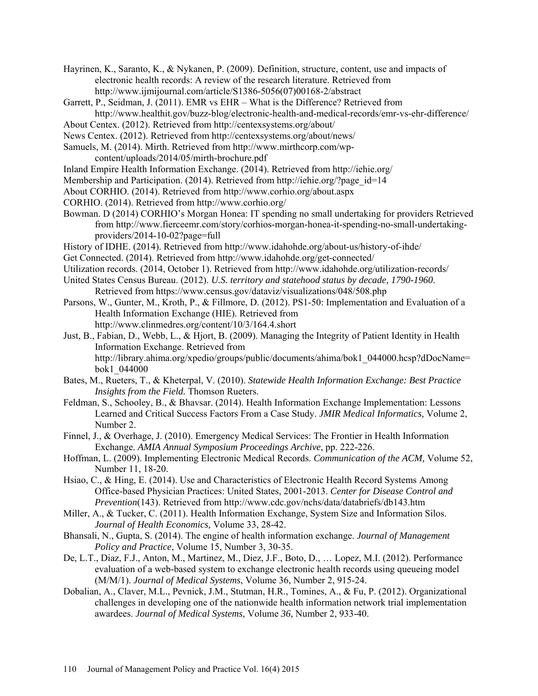Hayrinen, K., Saranto, K., & Nykanen, P. (2009). Definition, structure, content, use and impacts of electronic health records: A review of the research literature. Retrieved from [http://www.ijmijournal.com/article/S1386-5056\(07\)00168-2/abstract](http://www.ijmijournal.com/article/S1386-5056(07)00168-2/abstract)

Garrett, P., Seidman, J. (2011). EMR vs EHR – What is the Difference? Retrieved from

<http://www.healthit.gov/buzz-blog/electronic-health-and-medical-records/emr-vs-ehr-difference/> About Centex. (2012). Retrieved from<http://centexsystems.org/about/>

News Centex. (2012). Retrieved from <http://centexsystems.org/about/news/>

Samuels, M. (2014). Mirth. Retrieved from [http://www.mirthcorp.com/wp-](http://www.mirthcorp.com/wp-content/uploads/2014/05/mirth-brochure.pdf)

[content/uploads/2014/05/mirth-brochure.pdf](http://www.mirthcorp.com/wp-content/uploads/2014/05/mirth-brochure.pdf)

- Inland Empire Health Information Exchange. (2014). Retrieved from<http://iehie.org/>
- Membership and Participation. (2014). Retrieved from [http://iehie.org/?page\\_id=14](http://iehie.org/?page_id=14)
- About CORHIO. (2014). Retrieved from [http://www.corhio.org/about.aspx](http://h)
- CORHIO. (2014). Retrieved from [http://www.corhio.org/](http://h)
- Bowman. D (2014) CORHIO's Morgan Honea: IT spending no small undertaking for providers Retrieved fro[m](http://www.fierceemr.com/story/corhios-morgan-honea-it-spending-no-small-) [http://www.fierceemr.com/story/corhios-morgan-honea-it-spending-no-small-undertaking](http://www.fierceemr.com/story/corhios-morgan-honea-it-spending-no-small-)providers/2014-10-02?page=full
- History of IDHE. (2014). Retrieved from<http://www.idahohde.org/about-us/history-of-ihde/>
- Get Connected. (2014). Retrieved from<http://www.idahohde.org/get-connected/>
- Utilization records. (2014, October 1). Retrieved from<http://www.idahohde.org/utilization-records/>
- United States Census Bureau. (2012). *U.S. territory and statehood status by decade, 1790-1960*. Retrieved from <https://www.census.gov/dataviz/visualizations/048/508.php>
- Parsons, W., Gunter, M., Kroth, P., & Fillmore, D. (2012). PS1-50: Implementation and Evaluation of a Health Information Exchange (HIE). Retrieved from <http://www.clinmedres.org/content/10/3/164.4.short>

Just, B., Fabian, D., Webb, L., & Hjort, B. (2009). Managing the Integrity of Patient Identity in Health Information Exchange. Retrieved from [http://library.ahima.org/xpedio/groups/public/documents/ahima/bok1\\_044000.hcsp?dDocName=](http://library.ahima.org/xpedio/groups/public/documents/ahima/bok1_044000.hcsp?dDocName=bok1_044000) [bok1\\_044000](http://library.ahima.org/xpedio/groups/public/documents/ahima/bok1_044000.hcsp?dDocName=bok1_044000)

- Bates, M., Rueters, T., & Kheterpal, V. (2010). *Statewide Health Information Exchange: Best Practice Insights from the Field.* Thomson Rueters.
- Feldman, S., Schooley, B., & Bhavsar. (2014). Health Information Exchange Implementation: Lessons Learned and Critical Success Factors From a Case Study. *JMIR Medical Informatics,* Volume 2, Number 2.
- Finnel, J., & Overhage, J. (2010). Emergency Medical Services: The Frontier in Health Information Exchange. *AMIA Annual Symposium Proceedings Archive*, pp. 222-226.
- Hoffman, L. (2009). Implementing Electronic Medical Records. *Communication of the ACM,* Volume 52, Number 11, 18-20.
- Hsiao, C., & Hing, E. (2014). Use and Characteristics of Electronic Health Record Systems Among Office-based Physician Practices: United States, 2001-2013. *Center for Disease Control and Prevention*(143). Retrieved from<http://www.cdc.gov/nchs/data/databriefs/db143.htm>
- Miller, A., & Tucker, C. (2011). Health Information Exchange, System Size and Information Silos. *Journal of Health Economics,* Volume 33, 28-42.
- Bhansali, N., Gupta, S. (2014). The engine of health information exchange. *Journal of Management Policy and Practice*, Volume 15, Number 3, 30-35.
- De, L.T., Diaz, F.J., Anton, M., Martinez, M., Diez, J.F., Boto, D., … Lopez, M.I. (2012). Performance evaluation of a web-based system to exchange electronic health records using queueing model (M/M/1). *Journal of Medical Systems*, Volume 36, Number 2, 915-24.
- Dobalian, A., Claver, M.L., Pevnick, J.M., Stutman, H.R., Tomines, A., & Fu, P. (2012). Organizational challenges in developing one of the nationwide health information network trial implementation awardees. *Journal of Medical Systems*, Volume *36,* Number 2, 933-40.